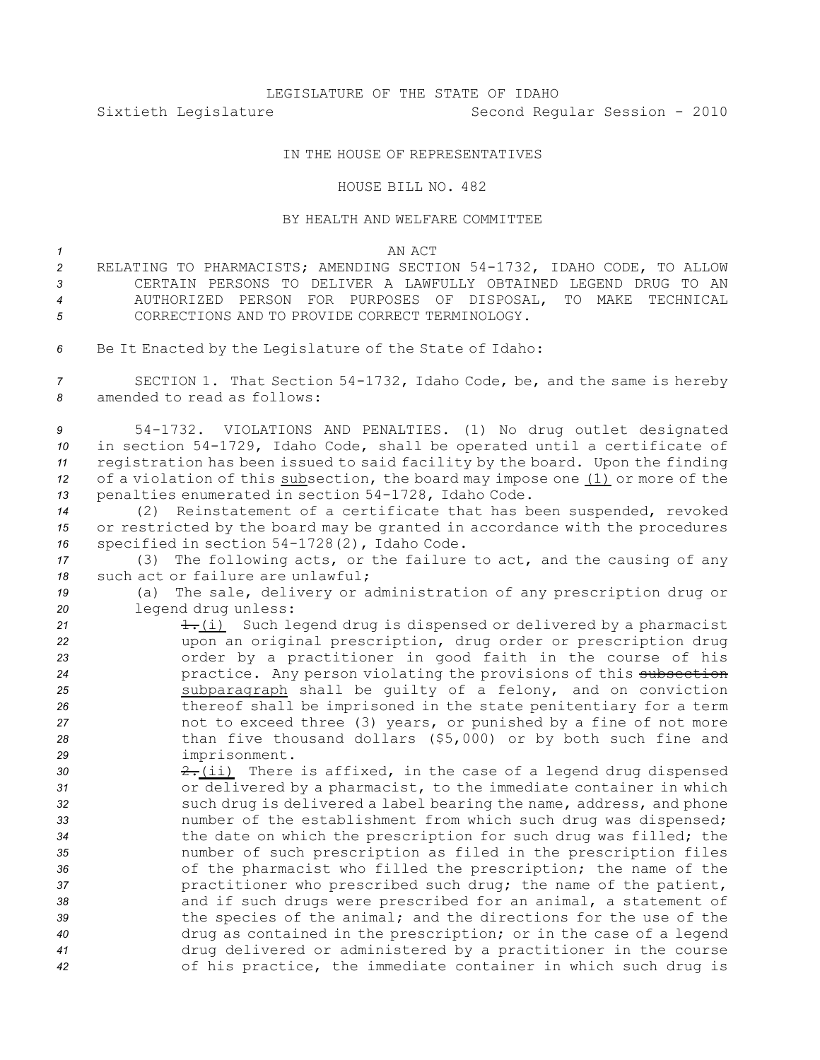## LEGISLATURE OF THE STATE OF IDAHO

Sixtieth Legislature Second Regular Session - 2010

## IN THE HOUSE OF REPRESENTATIVES

#### HOUSE BILL NO. 482

# BY HEALTH AND WELFARE COMMITTEE

## *1* AN ACT

- 2 RELATING TO PHARMACISTS; AMENDING SECTION 54-1732, IDAHO CODE, TO ALLOW *3* CERTAIN PERSONS TO DELIVER A LAWFULLY OBTAINED LEGEND DRUG TO AN *4* AUTHORIZED PERSON FOR PURPOSES OF DISPOSAL, TO MAKE TECHNICAL *5* CORRECTIONS AND TO PROVIDE CORRECT TERMINOLOGY.
- *<sup>6</sup>* Be It Enacted by the Legislature of the State of Idaho:

7 **SECTION 1.** That Section 54-1732, Idaho Code, be, and the same is hereby *8* amended to read as follows:

9 54-1732. VIOLATIONS AND PENALTIES. (1) No drug outlet designated *10* in section 54-1729, Idaho Code, shall be operated until a certificate of *<sup>11</sup>* registration has been issued to said facility by the board. Upon the finding *<sup>12</sup>* of <sup>a</sup> violation of this subsection, the board may impose one (1) or more of the 13 penalties enumerated in section 54-1728, Idaho Code.

*<sup>14</sup>* (2) Reinstatement of <sup>a</sup> certificate that has been suspended, revoked *<sup>15</sup>* or restricted by the board may be granted in accordance with the procedures 16 specified in section 54-1728(2), Idaho Code.

*<sup>17</sup>* (3) The following acts, or the failure to act, and the causing of any *18* such act or failure are unlawful;

*<sup>19</sup>* (a) The sale, delivery or administration of any prescription drug or *<sup>20</sup>* legend drug unless:

21 1.(i) Such legend drug is dispensed or delivered by a pharmacist upon an original prescription, drug order or prescription drug order by <sup>a</sup> practitioner in good faith in the course of his *24* practice. Any person violating the provisions of this subsection subparagraph shall be guilty of <sup>a</sup> felony, and on conviction thereof shall be imprisoned in the state penitentiary for <sup>a</sup> term not to exceed three (3) years, or punished by <sup>a</sup> fine of not more than five thousand dollars (\$5,000) or by both such fine and imprisonment.

**2.**(ii) There is affixed, in the case of a legend drug dispensed or delivered by <sup>a</sup> pharmacist, to the immediate container in which such drug is delivered <sup>a</sup> label bearing the name, address, and phone number of the establishment from which such drug was dispensed; the date on which the prescription for such drug was filled; the number of such prescription as filed in the prescription files of the pharmacist who filled the prescription; the name of the practitioner who prescribed such drug; the name of the patient, and if such drugs were prescribed for an animal, <sup>a</sup> statement of the species of the animal; and the directions for the use of the drug as contained in the prescription; or in the case of <sup>a</sup> legend drug delivered or administered by <sup>a</sup> practitioner in the course of his practice, the immediate container in which such drug is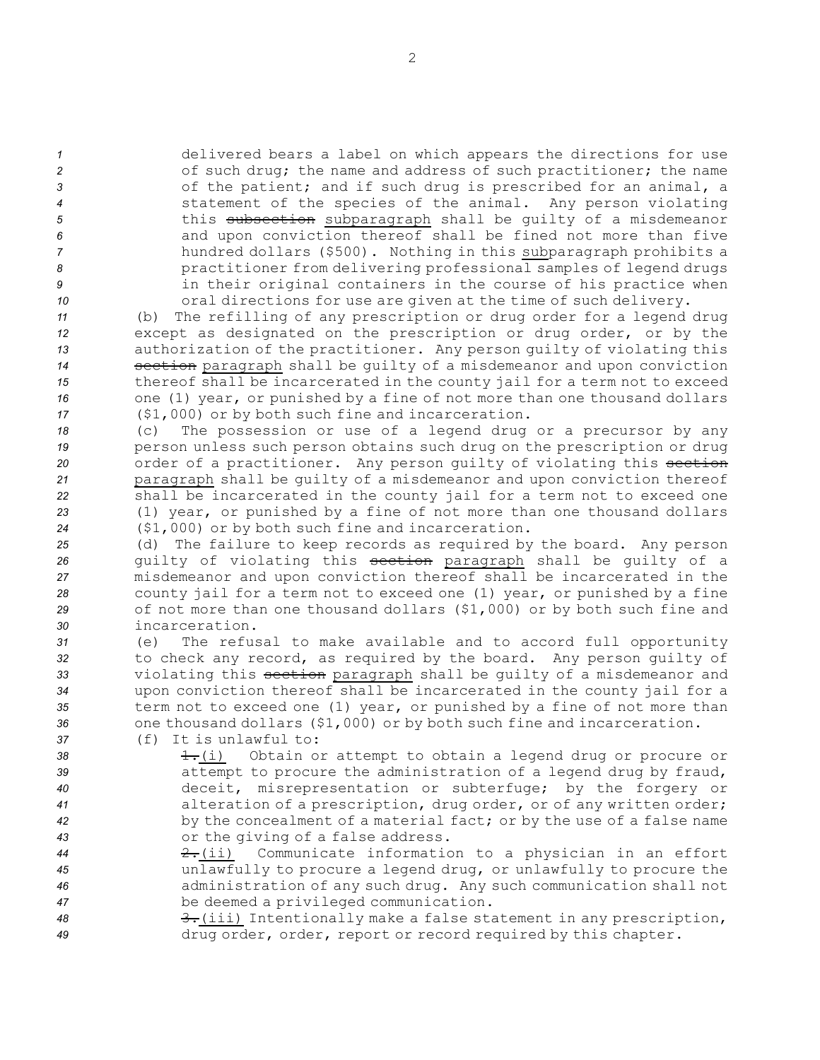delivered bears <sup>a</sup> label on which appears the directions for use 2 of such drug; the name and address of such practitioner; the name of the patient; and if such drug is prescribed for an animal, <sup>a</sup> statement of the species of the animal. Any person violating 5 this subsection subparagraph shall be guilty of a misdemeanor and upon conviction thereof shall be fined not more than five hundred dollars (\$500). Nothing in this subparagraph prohibits <sup>a</sup> practitioner from delivering professional samples of legend drugs in their original containers in the course of his practice when oral directions for use are given at the time of such delivery.

 (b) The refilling of any prescription or drug order for <sup>a</sup> legend drug except as designated on the prescription or drug order, or by the authorization of the practitioner. Any person guilty of violating this **section** paragraph shall be guilty of a misdemeanor and upon conviction thereof shall be incarcerated in the county jail for <sup>a</sup> term not to exceed one (1) year, or punished by <sup>a</sup> fine of not more than one thousand dollars (\$1,000) or by both such fine and incarceration.

 (c) The possession or use of <sup>a</sup> legend drug or <sup>a</sup> precursor by any person unless such person obtains such drug on the prescription or drug 20 order of a practitioner. Any person guilty of violating this section paragraph shall be guilty of <sup>a</sup> misdemeanor and upon conviction thereof shall be incarcerated in the county jail for <sup>a</sup> term not to exceed one (1) year, or punished by <sup>a</sup> fine of not more than one thousand dollars (\$1,000) or by both such fine and incarceration.

 (d) The failure to keep records as required by the board. Any person guilty of violating this section paragraph shall be guilty of <sup>a</sup> misdemeanor and upon conviction thereof shall be incarcerated in the county jail for <sup>a</sup> term not to exceed one (1) year, or punished by <sup>a</sup> fine of not more than one thousand dollars (\$1,000) or by both such fine and incarceration.

 (e) The refusal to make available and to accord full opportunity to check any record, as required by the board. Any person guilty of violating this section paragraph shall be guilty of <sup>a</sup> misdemeanor and upon conviction thereof shall be incarcerated in the county jail for <sup>a</sup> term not to exceed one (1) year, or punished by <sup>a</sup> fine of not more than one thousand dollars (\$1,000) or by both such fine and incarceration.

*37* (f) It is unlawful to:

38 1.(i) Obtain or attempt to obtain a legend drug or procure or attempt to procure the administration of <sup>a</sup> legend drug by fraud, deceit, misrepresentation or subterfuge; by the forgery or alteration of <sup>a</sup> prescription, drug order, or of any written order; by the concealment of <sup>a</sup> material fact; or by the use of <sup>a</sup> false name or the giving of <sup>a</sup> false address.

- *<sup>44</sup>* 2.(ii) Communicate information to <sup>a</sup> physician in an effort *<sup>45</sup>* unlawfully to procure <sup>a</sup> legend drug, or unlawfully to procure the *<sup>46</sup>* administration of any such drug. Any such communication shall not *<sup>47</sup>* be deemed <sup>a</sup> privileged communication.
- 48 3.(iii) Intentionally make a false statement in any prescription, *<sup>49</sup>* drug order, order, report or record required by this chapter.